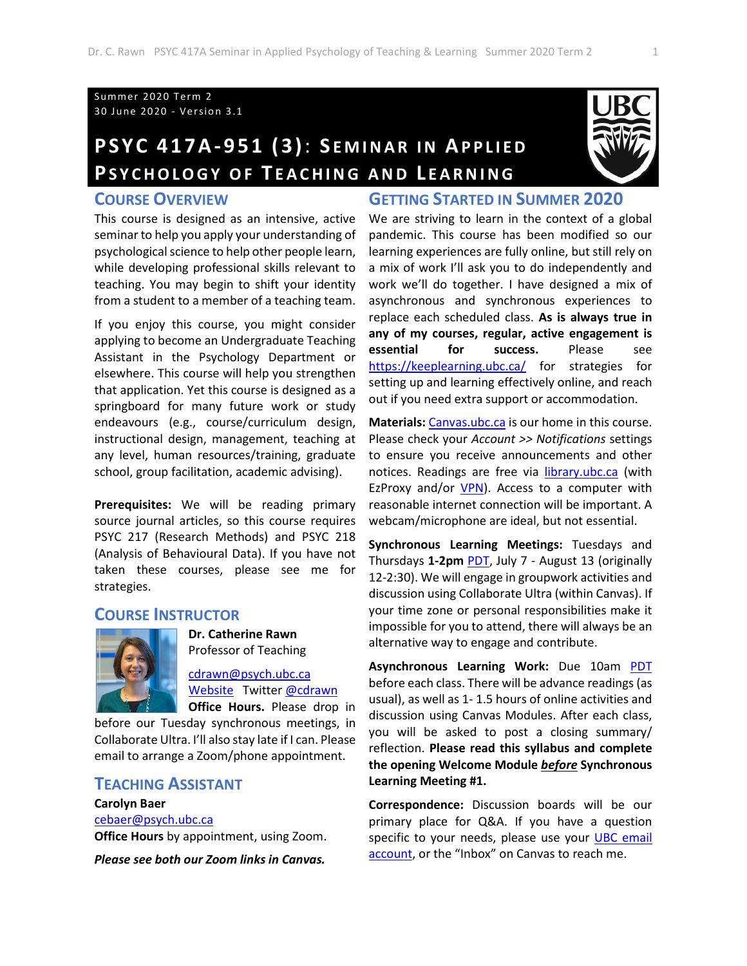#### Summer 2020 Term 2 30 June 2020 - Version 3.1

# **PSYC 417A-951 (3)**: **S EMINAR IN APPLIED PSYCHOLOGY OF TEACHING AND LEARNING**



### **COURSE OVERVIEW**

This course is designed as an intensive, active seminar to help you apply your understanding of psychological science to help other people learn, while developing professional skills relevant to teaching. You may begin to shift your identity from a student to a member of a teaching team.

If you enjoy this course, you might consider applying to become an Undergraduate Teaching Assistant in the Psychology Department or elsewhere. This course will help you strengthen that application. Yet this course is designed as a springboard for many future work or study endeavours (e.g., course/curriculum design, instructional design, management, teaching at any level, human resources/training, graduate school, group facilitation, academic advising).

**Prerequisites:** We will be reading primary source journal articles, so this course requires PSYC 217 (Research Methods) and PSYC 218 (Analysis of Behavioural Data). If you have not taken these courses, please see me for strategies.

#### **COURSE INSTRUCTOR**



**Dr. Catherine Rawn** Professor of Teaching

[cdrawn@psych.ubc.ca](mailto:cdrawn@psych.ubc.ca) [Website](http://blogs.ubc.ca/catherinerawn/) Twitter [@cdrawn](https://twitter.com/cdrawn) **Office Hours.** Please drop in

before our Tuesday synchronous meetings, in Collaborate Ultra. I'll also stay late if I can. Please email to arrange a Zoom/phone appointment.

**TEACHING ASSISTANT Carolyn Baer** [cebaer@psych.ubc.ca](mailto:cebaer@psych.ubc.ca) **Office Hours** by appointment, using Zoom.

*Please see both our Zoom links in Canvas.*

## **GETTING STARTED IN SUMMER 2020**

We are striving to learn in the context of a global pandemic. This course has been modified so our learning experiences are fully online, but still rely on a mix of work I'll ask you to do independently and work we'll do together. I have designed a mix of asynchronous and synchronous experiences to replace each scheduled class. **As is always true in any of my courses, regular, active engagement is essential for success.** Please see <https://keeplearning.ubc.ca/> for strategies for setting up and learning effectively online, and reach out if you need extra support or accommodation.

Materials: [Canvas.ubc.ca](https://canvas.ubc.ca/) is our home in this course. Please check your *Account >> Notifications* settings to ensure you receive announcements and other notices. Readings are free via [library.ubc.ca](http://www.library.ubc.ca/) (with EzProxy and/or [VPN\)](https://it.ubc.ca/services/email-voice-internet/myvpn). Access to a computer with reasonable internet connection will be important. A webcam/microphone are ideal, but not essential.

**Synchronous Learning Meetings:** Tuesdays and Thursdays **1-2pm** [PDT,](https://www.timeanddate.com/worldclock/converter.html?iso=20200616T210000&p1=256) July 7 - August 13 (originally 12-2:30). We will engage in groupwork activities and discussion using Collaborate Ultra (within Canvas). If your time zone or personal responsibilities make it impossible for you to attend, there will always be an alternative way to engage and contribute.

**Asynchronous Learning Work:** Due 10am [PDT](https://www.timeanddate.com/worldclock/converter.html?iso=20200616T210000&p1=256) before each class. There will be advance readings (as usual), as well as 1- 1.5 hours of online activities and discussion using Canvas Modules. After each class, you will be asked to post a closing summary/ reflection. **Please read this syllabus and complete the opening Welcome Module** *before* **Synchronous Learning Meeting #1.**

**Correspondence:** Discussion boards will be our primary place for Q&A. If you have a question specific to your needs, please use your UBC email [account,](http://it.ubc.ca/services/email-voice-internet/student-alumni-email-service) or the "Inbox" on Canvas to reach me.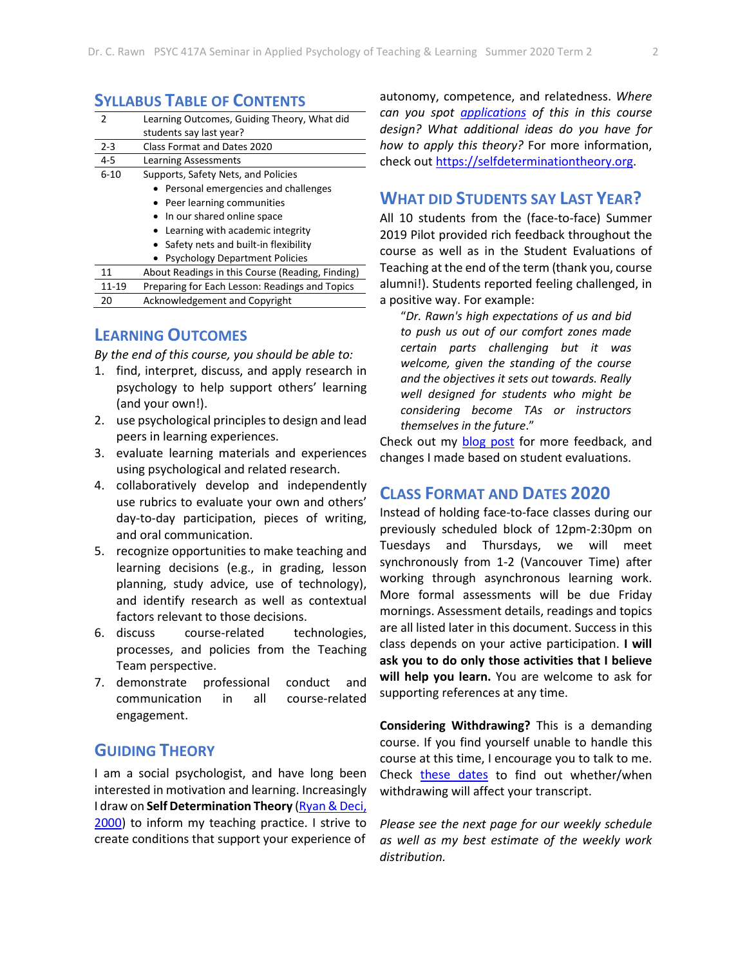## **SYLLABUS TABLE OF CONTENTS**

| 2         | Learning Outcomes, Guiding Theory, What did      |  |  |  |  |
|-----------|--------------------------------------------------|--|--|--|--|
|           | students say last year?                          |  |  |  |  |
| $2 - 3$   | <b>Class Format and Dates 2020</b>               |  |  |  |  |
| 4-5       | <b>Learning Assessments</b>                      |  |  |  |  |
| $6 - 10$  | Supports, Safety Nets, and Policies              |  |  |  |  |
|           | • Personal emergencies and challenges            |  |  |  |  |
|           | • Peer learning communities                      |  |  |  |  |
|           | • In our shared online space                     |  |  |  |  |
|           | Learning with academic integrity                 |  |  |  |  |
|           | • Safety nets and built-in flexibility           |  |  |  |  |
|           | • Psychology Department Policies                 |  |  |  |  |
| 11        | About Readings in this Course (Reading, Finding) |  |  |  |  |
| $11 - 19$ | Preparing for Each Lesson: Readings and Topics   |  |  |  |  |
| 20        | Acknowledgement and Copyright                    |  |  |  |  |

## **LEARNING OUTCOMES**

*By the end of this course, you should be able to:* 

- 1. find, interpret, discuss, and apply research in psychology to help support others' learning (and your own!).
- 2. use psychological principles to design and lead peers in learning experiences.
- 3. evaluate learning materials and experiences using psychological and related research.
- 4. collaboratively develop and independently use rubrics to evaluate your own and others' day-to-day participation, pieces of writing, and oral communication.
- 5. recognize opportunities to make teaching and learning decisions (e.g., in grading, lesson planning, study advice, use of technology), and identify research as well as contextual factors relevant to those decisions.
- 6. discuss course-related technologies, processes, and policies from the Teaching Team perspective.
- 7. demonstrate professional conduct and communication in all course-related engagement.

## **GUIDING THEORY**

I am a social psychologist, and have long been interested in motivation and learning. Increasingly I draw on **Self Determination Theory** [\(Ryan & Deci,](https://psycnet.apa.org/record/2000-13324-007)  [2000\)](https://psycnet.apa.org/record/2000-13324-007) to inform my teaching practice. I strive to create conditions that support your experience of

autonomy, competence, and relatedness. *Where can you spot [applications](https://selfdeterminationtheory.org/application-education/) of this in this course design? What additional ideas do you have for how to apply this theory?* For more information, check out [https://selfdeterminationtheory.org.](https://selfdeterminationtheory.org/)

## **WHAT DID STUDENTS SAY LAST YEAR?**

All 10 students from the (face-to-face) Summer 2019 Pilot provided rich feedback throughout the course as well as in the Student Evaluations of Teaching at the end of the term (thank you, course alumni!). Students reported feeling challenged, in a positive way. For example:

"*Dr. Rawn's high expectations of us and bid to push us out of our comfort zones made certain parts challenging but it was welcome, given the standing of the course and the objectives it sets out towards. Really well designed for students who might be considering become TAs or instructors themselves in the future*."

Check out my **blog post** for more feedback, and changes I made based on student evaluations.

## **CLASS FORMAT AND DATES 2020**

Instead of holding face-to-face classes during our previously scheduled block of 12pm-2:30pm on Tuesdays and Thursdays, we will meet synchronously from 1-2 (Vancouver Time) after working through asynchronous learning work. More formal assessments will be due Friday mornings. Assessment details, readings and topics are all listed later in this document. Success in this class depends on your active participation. **I will ask you to do only those activities that I believe will help you learn.** You are welcome to ask for supporting references at any time.

**Considering Withdrawing?** This is a demanding course. If you find yourself unable to handle this course at this time, I encourage you to talk to me. Check [these dates](http://www.calendar.ubc.ca/vancouver/index.cfm?page=deadlines) to find out whether/when withdrawing will affect your transcript.

*Please see the next page for our weekly schedule as well as my best estimate of the weekly work distribution.*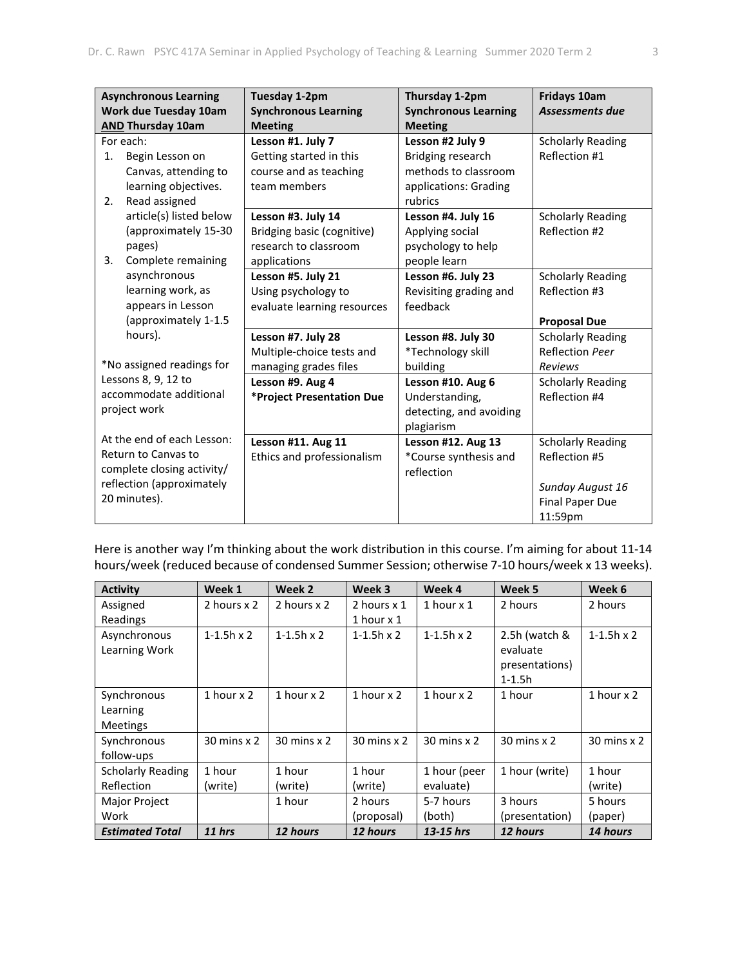|                                                                                                                              | <b>Asynchronous Learning</b> | <b>Tuesday 1-2pm</b>        | Thursday 1-2pm              | Fridays 10am             |  |
|------------------------------------------------------------------------------------------------------------------------------|------------------------------|-----------------------------|-----------------------------|--------------------------|--|
| <b>Work due Tuesday 10am</b>                                                                                                 |                              | <b>Synchronous Learning</b> | <b>Synchronous Learning</b> | Assessments due          |  |
| <b>AND Thursday 10am</b>                                                                                                     |                              | <b>Meeting</b>              | <b>Meeting</b>              |                          |  |
|                                                                                                                              | For each:                    | Lesson #1. July 7           | Lesson #2 July 9            | <b>Scholarly Reading</b> |  |
| 1.                                                                                                                           | Begin Lesson on              | Getting started in this     | Bridging research           | Reflection #1            |  |
|                                                                                                                              | Canvas, attending to         | course and as teaching      | methods to classroom        |                          |  |
|                                                                                                                              | learning objectives.         | team members                | applications: Grading       |                          |  |
| 2.                                                                                                                           | Read assigned                |                             | rubrics                     |                          |  |
|                                                                                                                              | article(s) listed below      | Lesson #3. July 14          | Lesson #4. July 16          | <b>Scholarly Reading</b> |  |
|                                                                                                                              | (approximately 15-30         | Bridging basic (cognitive)  |                             | Reflection #2            |  |
|                                                                                                                              |                              | research to classroom       | Applying social             |                          |  |
|                                                                                                                              | pages)                       |                             | psychology to help          |                          |  |
| 3.                                                                                                                           | Complete remaining           | applications                | people learn                |                          |  |
|                                                                                                                              | asynchronous                 | Lesson #5. July 21          | Lesson #6. July 23          | <b>Scholarly Reading</b> |  |
|                                                                                                                              | learning work, as            | Using psychology to         | Revisiting grading and      | Reflection #3            |  |
|                                                                                                                              | appears in Lesson            | evaluate learning resources | feedback                    |                          |  |
|                                                                                                                              | (approximately 1-1.5         |                             |                             | <b>Proposal Due</b>      |  |
|                                                                                                                              | hours).                      | Lesson #7. July 28          | Lesson #8. July 30          | <b>Scholarly Reading</b> |  |
|                                                                                                                              |                              | Multiple-choice tests and   | *Technology skill           | Reflection Peer          |  |
| *No assigned readings for                                                                                                    |                              | managing grades files       | building                    | Reviews                  |  |
| Lessons 8, 9, 12 to                                                                                                          |                              | Lesson #9. Aug 4            | Lesson #10. Aug 6           | <b>Scholarly Reading</b> |  |
| accommodate additional                                                                                                       |                              | *Project Presentation Due   | Understanding,              | Reflection #4            |  |
| project work                                                                                                                 |                              |                             | detecting, and avoiding     |                          |  |
|                                                                                                                              |                              |                             | plagiarism                  |                          |  |
| At the end of each Lesson:<br>Return to Canvas to<br>complete closing activity/<br>reflection (approximately<br>20 minutes). |                              | Lesson #11. Aug 11          | Lesson #12. Aug 13          | <b>Scholarly Reading</b> |  |
|                                                                                                                              |                              | Ethics and professionalism  | *Course synthesis and       | Reflection #5            |  |
|                                                                                                                              |                              |                             | reflection                  |                          |  |
|                                                                                                                              |                              |                             |                             | Sunday August 16         |  |
|                                                                                                                              |                              |                             |                             | <b>Final Paper Due</b>   |  |
|                                                                                                                              |                              |                             |                             | 11:59pm                  |  |

Here is another way I'm thinking about the work distribution in this course. I'm aiming for about 11-14 hours/week (reduced because of condensed Summer Session; otherwise 7-10 hours/week x 13 weeks).

| <b>Activity</b>          | Week 1                     | Week 2              | Week 3                     | Week 4                     | Week 5                     | Week 6                     |
|--------------------------|----------------------------|---------------------|----------------------------|----------------------------|----------------------------|----------------------------|
| Assigned                 | 2 hours x 2                | 2 hours x 2         | 2 hours x 1                | 1 hour $x$ 1               | 2 hours                    | 2 hours                    |
| Readings                 |                            |                     | 1 hour x 1                 |                            |                            |                            |
| Asynchronous             | $1 - 1.5h \times 2$        | $1 - 1.5h \times 2$ | $1 - 1.5h \times 2$        | $1 - 1.5h \times 2$        | 2.5h (watch $\&$           | $1 - 1.5h \times 2$        |
| Learning Work            |                            |                     |                            |                            | evaluate                   |                            |
|                          |                            |                     |                            |                            | presentations)             |                            |
|                          |                            |                     |                            |                            | $1 - 1.5h$                 |                            |
| Synchronous              | 1 hour x 2                 | 1 hour $x$ 2        | 1 hour $x$ 2               | 1 hour x 2                 | 1 hour                     | 1 hour x 2                 |
| Learning                 |                            |                     |                            |                            |                            |                            |
| <b>Meetings</b>          |                            |                     |                            |                            |                            |                            |
| Synchronous              | $30 \text{ mins} \times 2$ | $30$ mins $x$ 2     | $30 \text{ mins} \times 2$ | $30 \text{ mins} \times 2$ | $30 \text{ mins} \times 2$ | $30 \text{ mins} \times 2$ |
| follow-ups               |                            |                     |                            |                            |                            |                            |
| <b>Scholarly Reading</b> | 1 hour                     | 1 hour              | 1 hour                     | 1 hour (peer               | 1 hour (write)             | 1 hour                     |
| Reflection               | (write)                    | (write)             | (write)                    | evaluate)                  |                            | (write)                    |
| Major Project            |                            | 1 hour              | 2 hours                    | 5-7 hours                  | 3 hours                    | 5 hours                    |
| Work                     |                            |                     | (proposal)                 | (both)                     | (presentation)             | (paper)                    |
| <b>Estimated Total</b>   | $11$ hrs                   | 12 hours            | 12 hours                   | $13-15$ hrs                | 12 hours                   | 14 hours                   |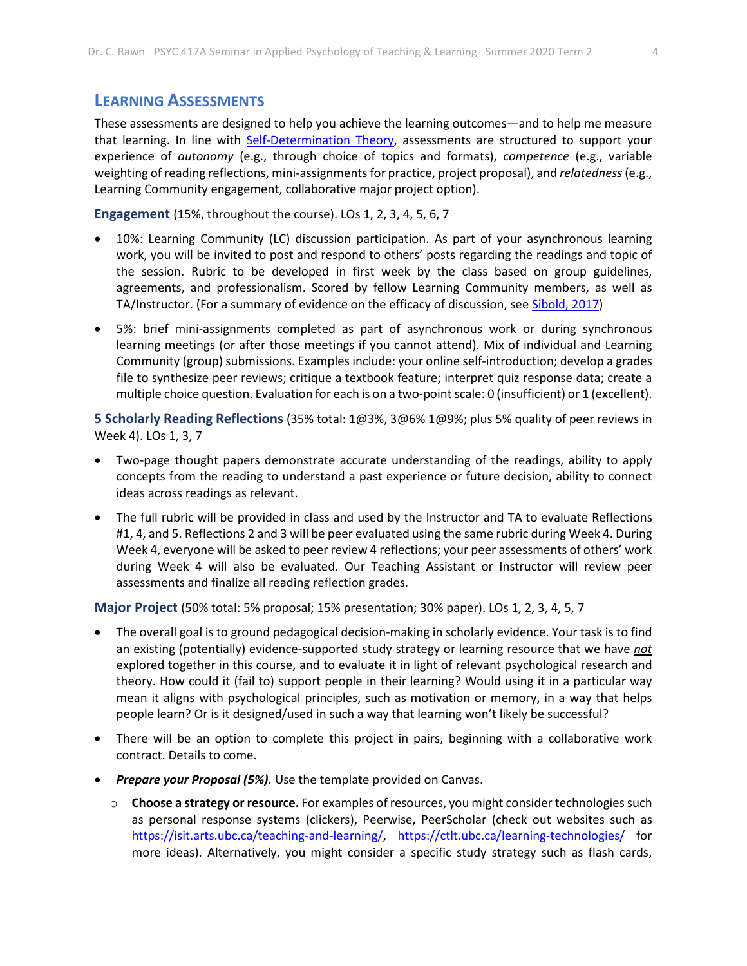## **LEARNING ASSESSMENTS**

These assessments are designed to help you achieve the learning outcomes—and to help me measure that learning. In line with [Self-Determination Theory,](https://selfdeterminationtheory.org/application-education/) assessments are structured to support your experience of *autonomy* (e.g., through choice of topics and formats), *competence* (e.g., variable weighting of reading reflections, mini-assignmentsfor practice, project proposal), and *relatedness*(e.g., Learning Community engagement, collaborative major project option).

**Engagement** (15%, throughout the course). LOs 1, 2, 3, 4, 5, 6, 7

- 10%: Learning Community (LC) discussion participation. As part of your asynchronous learning work, you will be invited to post and respond to others' posts regarding the readings and topic of the session. Rubric to be developed in first week by the class based on group guidelines, agreements, and professionalism. Scored by fellow Learning Community members, as well as TA/Instructor. (For a summary of evidence on the efficacy of discussion, see [Sibold, 2017\)](https://taylorinstitute.ucalgary.ca/resources/enhancing-critical-thinking-through-class-discussion-guide-using-discussion-based-pedagogy)
- 5%: brief mini-assignments completed as part of asynchronous work or during synchronous learning meetings (or after those meetings if you cannot attend). Mix of individual and Learning Community (group) submissions. Examples include: your online self-introduction; develop a grades file to synthesize peer reviews; critique a textbook feature; interpret quiz response data; create a multiple choice question. Evaluation for each is on a two-point scale: 0 (insufficient) or 1 (excellent).

**5 Scholarly Reading Reflections** (35% total: 1@3%, 3@6% 1@9%; plus 5% quality of peer reviews in Week 4). LOs 1, 3, 7

- Two-page thought papers demonstrate accurate understanding of the readings, ability to apply concepts from the reading to understand a past experience or future decision, ability to connect ideas across readings as relevant.
- The full rubric will be provided in class and used by the Instructor and TA to evaluate Reflections #1, 4, and 5. Reflections 2 and 3 will be peer evaluated using the same rubric during Week 4. During Week 4, everyone will be asked to peer review 4 reflections; your peer assessments of others' work during Week 4 will also be evaluated. Our Teaching Assistant or Instructor will review peer assessments and finalize all reading reflection grades.

**Major Project** (50% total: 5% proposal; 15% presentation; 30% paper). LOs 1, 2, 3, 4, 5, 7

- The overall goal is to ground pedagogical decision-making in scholarly evidence. Your task is to find an existing (potentially) evidence-supported study strategy or learning resource that we have *not* explored together in this course, and to evaluate it in light of relevant psychological research and theory. How could it (fail to) support people in their learning? Would using it in a particular way mean it aligns with psychological principles, such as motivation or memory, in a way that helps people learn? Or is it designed/used in such a way that learning won't likely be successful?
- There will be an option to complete this project in pairs, beginning with a collaborative work contract. Details to come.
- *Prepare your Proposal (5%).* Use the template provided on Canvas.
	- o **Choose a strategy or resource.** For examples of resources, you might consider technologies such as personal response systems (clickers), Peerwise, PeerScholar (check out websites such as [https://isit.arts.ubc.ca/teaching-and-learning/,](https://isit.arts.ubc.ca/teaching-and-learning/) <https://ctlt.ubc.ca/learning-technologies/> for more ideas). Alternatively, you might consider a specific study strategy such as flash cards,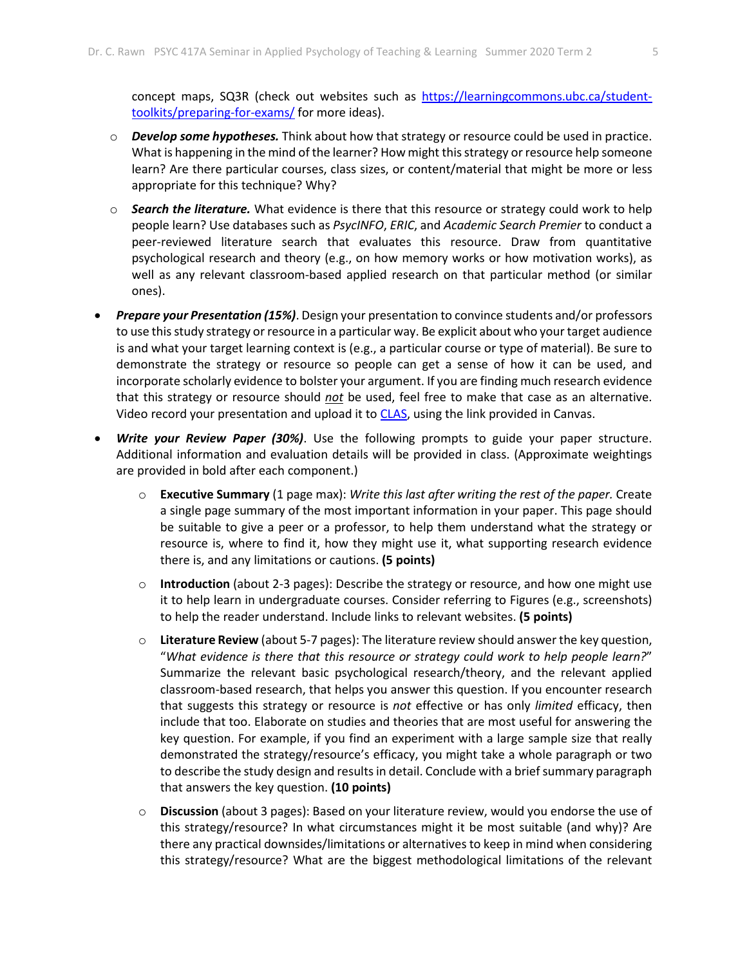concept maps, SQ3R (check out websites such as [https://learningcommons.ubc.ca/student](https://learningcommons.ubc.ca/student-toolkits/preparing-for-exams/)[toolkits/preparing-for-exams/](https://learningcommons.ubc.ca/student-toolkits/preparing-for-exams/) for more ideas).

- o *Develop some hypotheses.* Think about how that strategy or resource could be used in practice. What is happening in the mind of the learner? How might this strategy or resource help someone learn? Are there particular courses, class sizes, or content/material that might be more or less appropriate for this technique? Why?
- o *Search the literature.* What evidence is there that this resource or strategy could work to help people learn? Use databases such as *PsycINFO*, *ERIC*, and *Academic Search Premier* to conduct a peer-reviewed literature search that evaluates this resource. Draw from quantitative psychological research and theory (e.g., on how memory works or how motivation works), as well as any relevant classroom-based applied research on that particular method (or similar ones).
- *Prepare your Presentation (15%)*. Design your presentation to convince students and/or professors to use this study strategy or resource in a particular way. Be explicit about who your target audience is and what your target learning context is (e.g., a particular course or type of material). Be sure to demonstrate the strategy or resource so people can get a sense of how it can be used, and incorporate scholarly evidence to bolster your argument. If you are finding much research evidence that this strategy or resource should *not* be used, feel free to make that case as an alternative. Video record your presentation and upload it t[o CLAS,](https://clas.ubc.ca/) using the link provided in Canvas.
- *Write your Review Paper (30%)*. Use the following prompts to guide your paper structure. Additional information and evaluation details will be provided in class. (Approximate weightings are provided in bold after each component.)
	- o **Executive Summary** (1 page max): *Write this last after writing the rest of the paper.* Create a single page summary of the most important information in your paper. This page should be suitable to give a peer or a professor, to help them understand what the strategy or resource is, where to find it, how they might use it, what supporting research evidence there is, and any limitations or cautions. **(5 points)**
	- o **Introduction** (about 2-3 pages): Describe the strategy or resource, and how one might use it to help learn in undergraduate courses. Consider referring to Figures (e.g., screenshots) to help the reader understand. Include links to relevant websites. **(5 points)**
	- o **Literature Review** (about 5-7 pages): The literature review should answer the key question, "*What evidence is there that this resource or strategy could work to help people learn?*" Summarize the relevant basic psychological research/theory, and the relevant applied classroom-based research, that helps you answer this question. If you encounter research that suggests this strategy or resource is *not* effective or has only *limited* efficacy, then include that too. Elaborate on studies and theories that are most useful for answering the key question. For example, if you find an experiment with a large sample size that really demonstrated the strategy/resource's efficacy, you might take a whole paragraph or two to describe the study design and results in detail. Conclude with a brief summary paragraph that answers the key question. **(10 points)**
	- o **Discussion** (about 3 pages): Based on your literature review, would you endorse the use of this strategy/resource? In what circumstances might it be most suitable (and why)? Are there any practical downsides/limitations or alternatives to keep in mind when considering this strategy/resource? What are the biggest methodological limitations of the relevant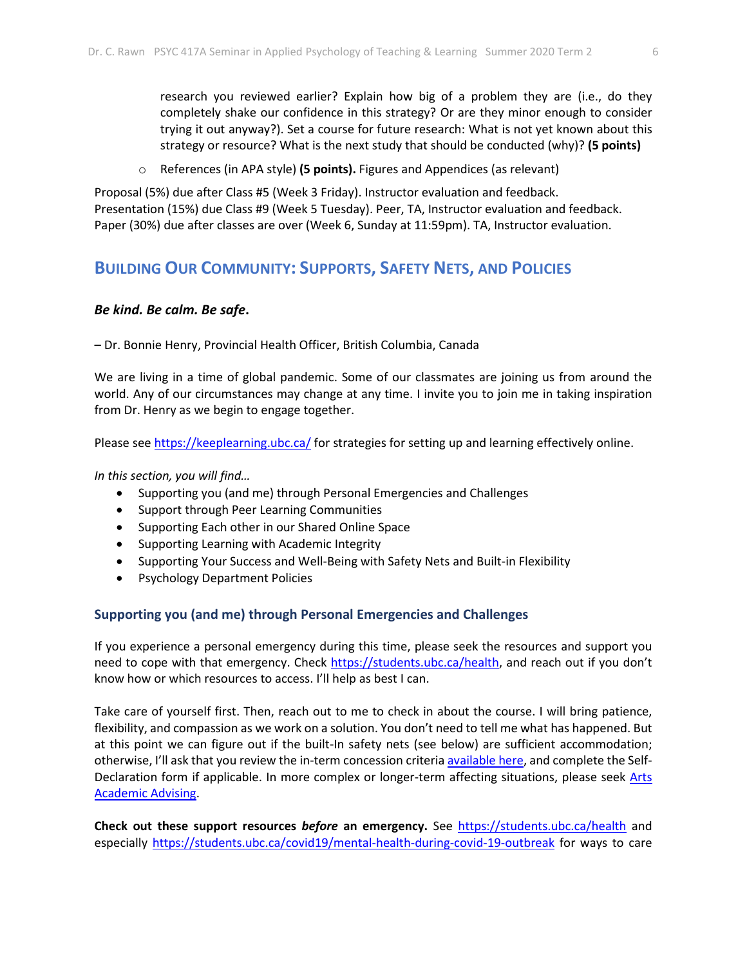research you reviewed earlier? Explain how big of a problem they are (i.e., do they completely shake our confidence in this strategy? Or are they minor enough to consider trying it out anyway?). Set a course for future research: What is not yet known about this strategy or resource? What is the next study that should be conducted (why)? **(5 points)**

o References (in APA style) **(5 points).** Figures and Appendices (as relevant)

Proposal (5%) due after Class #5 (Week 3 Friday). Instructor evaluation and feedback. Presentation (15%) due Class #9 (Week 5 Tuesday). Peer, TA, Instructor evaluation and feedback. Paper (30%) due after classes are over (Week 6, Sunday at 11:59pm). TA, Instructor evaluation.

## **BUILDING OUR COMMUNITY: SUPPORTS, SAFETY NETS, AND POLICIES**

#### *Be kind. Be calm. Be safe***.**

– Dr. Bonnie Henry, Provincial Health Officer, British Columbia, Canada

We are living in a time of global pandemic. Some of our classmates are joining us from around the world. Any of our circumstances may change at any time. I invite you to join me in taking inspiration from Dr. Henry as we begin to engage together.

Please see<https://keeplearning.ubc.ca/> for strategies for setting up and learning effectively online.

*In this section, you will find…*

- Supporting you (and me) through Personal Emergencies and Challenges
- Support through Peer Learning Communities
- Supporting Each other in our Shared Online Space
- Supporting Learning with Academic Integrity
- Supporting Your Success and Well-Being with Safety Nets and Built-in Flexibility
- Psychology Department Policies

### **Supporting you (and me) through Personal Emergencies and Challenges**

If you experience a personal emergency during this time, please seek the resources and support you need to cope with that emergency. Check [https://students.ubc.ca/health,](https://students.ubc.ca/health) and reach out if you don't know how or which resources to access. I'll help as best I can.

Take care of yourself first. Then, reach out to me to check in about the course. I will bring patience, flexibility, and compassion as we work on a solution. You don't need to tell me what has happened. But at this point we can figure out if the built-In safety nets (see below) are sufficient accommodation; otherwise, I'll ask that you review the in-term concession criteria [available here,](https://www.arts.ubc.ca/degree-planning/academic-performance/academic-concession/) and complete the Self-Declaration form if applicable. In more complex or longer-term affecting situations, please seek [Arts](https://students.arts.ubc.ca/advising/contact-us/)  [Academic Advising.](https://students.arts.ubc.ca/advising/contact-us/)

**Check out these support resources** *before* **an emergency.** See<https://students.ubc.ca/health> and especially<https://students.ubc.ca/covid19/mental-health-during-covid-19-outbreak> for ways to care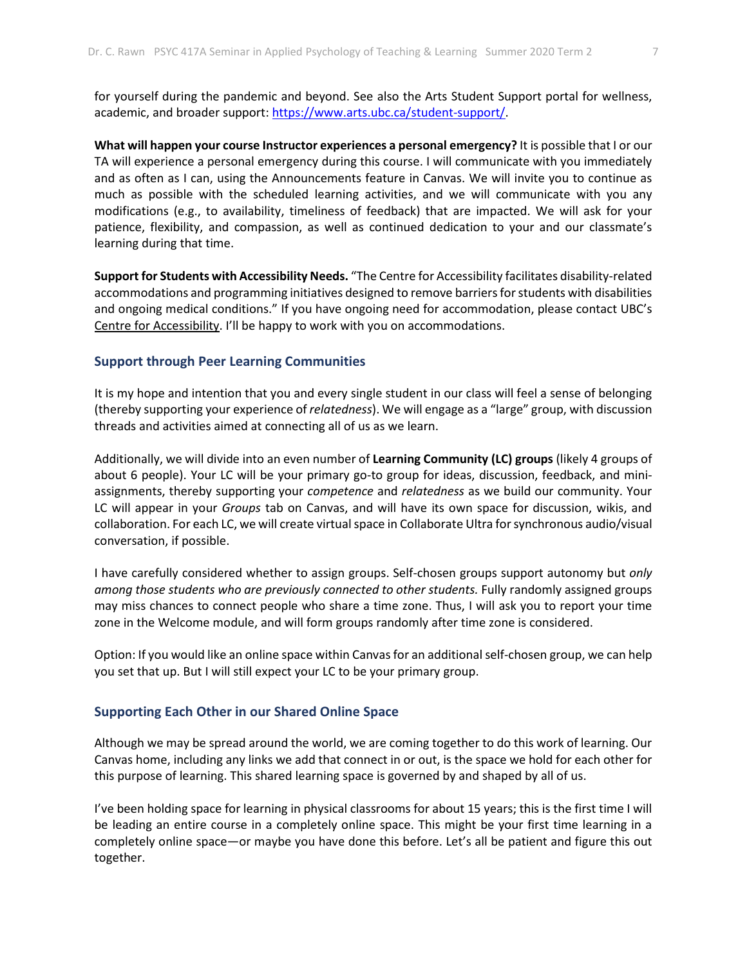for yourself during the pandemic and beyond. See also the Arts Student Support portal for wellness, academic, and broader support: [https://www.arts.ubc.ca/student-support/.](https://www.arts.ubc.ca/student-support/)

**What will happen your course Instructor experiences a personal emergency?** It is possible that I or our TA will experience a personal emergency during this course. I will communicate with you immediately and as often as I can, using the Announcements feature in Canvas. We will invite you to continue as much as possible with the scheduled learning activities, and we will communicate with you any modifications (e.g., to availability, timeliness of feedback) that are impacted. We will ask for your patience, flexibility, and compassion, as well as continued dedication to your and our classmate's learning during that time.

**Support for Students with Accessibility Needs.** "The Centre for Accessibility facilitates disability-related accommodations and programming initiatives designed to remove barriers for students with disabilities and ongoing medical conditions." If you have ongoing need for accommodation, please contact UBC's [Centre for Accessibility.](https://students.ubc.ca/about-student-services/centre-for-accessibility) I'll be happy to work with you on accommodations.

#### **Support through Peer Learning Communities**

It is my hope and intention that you and every single student in our class will feel a sense of belonging (thereby supporting your experience of *relatedness*). We will engage as a "large" group, with discussion threads and activities aimed at connecting all of us as we learn.

Additionally, we will divide into an even number of **Learning Community (LC) groups** (likely 4 groups of about 6 people). Your LC will be your primary go-to group for ideas, discussion, feedback, and miniassignments, thereby supporting your *competence* and *relatedness* as we build our community. Your LC will appear in your *Groups* tab on Canvas, and will have its own space for discussion, wikis, and collaboration. For each LC, we will create virtual space in Collaborate Ultra for synchronous audio/visual conversation, if possible.

I have carefully considered whether to assign groups. Self-chosen groups support autonomy but *only*  among those students who are previously connected to other students. Fully randomly assigned groups may miss chances to connect people who share a time zone. Thus, I will ask you to report your time zone in the Welcome module, and will form groups randomly after time zone is considered.

Option: If you would like an online space within Canvas for an additional self-chosen group, we can help you set that up. But I will still expect your LC to be your primary group.

#### **Supporting Each Other in our Shared Online Space**

Although we may be spread around the world, we are coming together to do this work of learning. Our Canvas home, including any links we add that connect in or out, is the space we hold for each other for this purpose of learning. This shared learning space is governed by and shaped by all of us.

I've been holding space for learning in physical classrooms for about 15 years; this is the first time I will be leading an entire course in a completely online space. This might be your first time learning in a completely online space—or maybe you have done this before. Let's all be patient and figure this out together.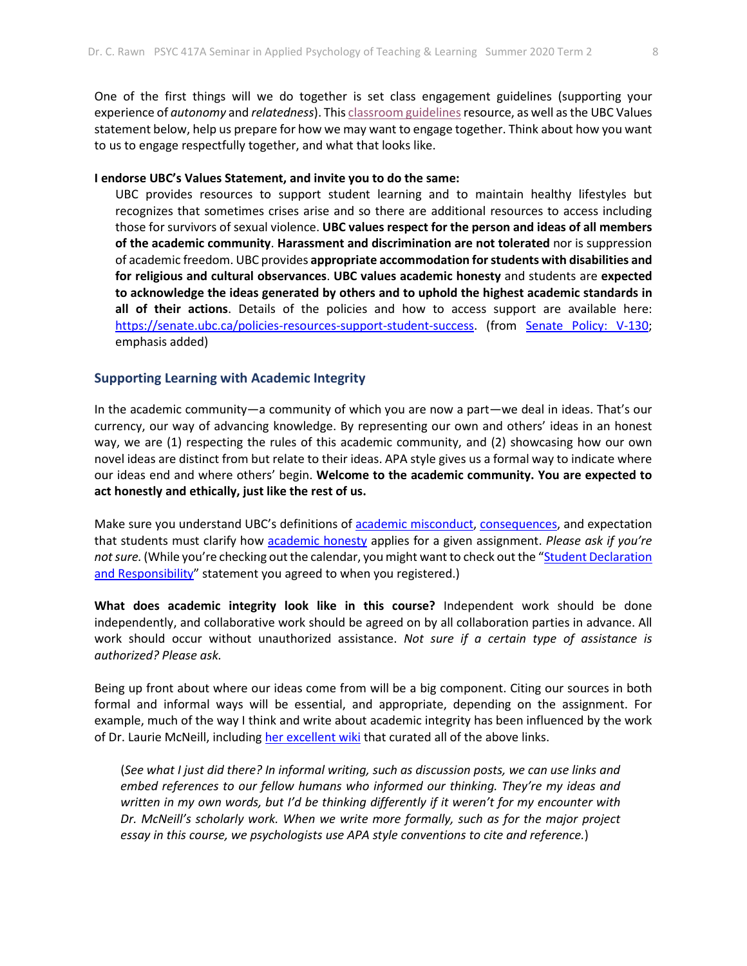One of the first things will we do together is set class engagement guidelines (supporting your experience of *autonomy* and *relatedness*). Thi[s classroom guidelines](https://wiki.ubc.ca/Documentation:Inclusive_Teaching/Classroom_Guidelines) resource, as well as the UBC Values statement below, help us prepare for how we may want to engage together. Think about how you want to us to engage respectfully together, and what that looks like.

#### **I endorse UBC's Values Statement, and invite you to do the same:**

UBC provides resources to support student learning and to maintain healthy lifestyles but recognizes that sometimes crises arise and so there are additional resources to access including those for survivors of sexual violence. **UBC values respect for the person and ideas of all members of the academic community**. **Harassment and discrimination are not tolerated** nor is suppression of academic freedom. UBC provides **appropriate accommodation for students with disabilities and for religious and cultural observances**. **UBC values academic honesty** and students are **expected to acknowledge the ideas generated by others and to uphold the highest academic standards in all of their actions**. Details of the policies and how to access support are available here: [https://senate.ubc.ca/policies-resources-support-student-success.](https://senate.ubc.ca/policies-resources-support-student-success) (from [Senate Policy: V-130;](https://senate.ubc.ca/sites/senate.ubc.ca/files/downloads/Policy-20190207-V-130-Syllabus.pdf) emphasis added)

#### **Supporting Learning with Academic Integrity**

In the academic community—a community of which you are now a part—we deal in ideas. That's our currency, our way of advancing knowledge. By representing our own and others' ideas in an honest way, we are (1) respecting the rules of this academic community, and (2) showcasing how our own novel ideas are distinct from but relate to their ideas. APA style gives us a formal way to indicate where our ideas end and where others' begin. **Welcome to the academic community. You are expected to act honestly and ethically, just like the rest of us.**

Make sure you understand UBC's definitions of [academic misconduct,](http://www.calendar.ubc.ca/Vancouver/index.cfm?tree=3,54,111,959) [consequences,](http://www.calendar.ubc.ca/Vancouver/index.cfm?tree=3,54,111,960) and expectation that students must clarify how [academic honesty](http://www.calendar.ubc.ca/Vancouver/index.cfm?tree=3,286,0,0) applies for a given assignment. *Please ask if you're not sure.* (While you're checking out the calendar, you might want to check out the ["Student Declaration](http://www.calendar.ubc.ca/Vancouver/index.cfm?tree=3,285,0,0)  [and Responsibility"](http://www.calendar.ubc.ca/Vancouver/index.cfm?tree=3,285,0,0) statement you agreed to when you registered.)

**What does academic integrity look like in this course?** Independent work should be done independently, and collaborative work should be agreed on by all collaboration parties in advance. All work should occur without unauthorized assistance. *Not sure if a certain type of assistance is authorized? Please ask.*

Being up front about where our ideas come from will be a big component. Citing our sources in both formal and informal ways will be essential, and appropriate, depending on the assignment. For example, much of the way I think and write about academic integrity has been influenced by the work of Dr. Laurie McNeill, including [her excellent wiki](https://wiki.ubc.ca/Learning_Commons:Faculty_Resources/Academic_Integrity) that curated all of the above links.

(*See what I just did there? In informal writing, such as discussion posts, we can use links and embed references to our fellow humans who informed our thinking. They're my ideas and written in my own words, but I'd be thinking differently if it weren't for my encounter with Dr. McNeill's scholarly work. When we write more formally, such as for the major project essay in this course, we psychologists use APA style conventions to cite and reference.*)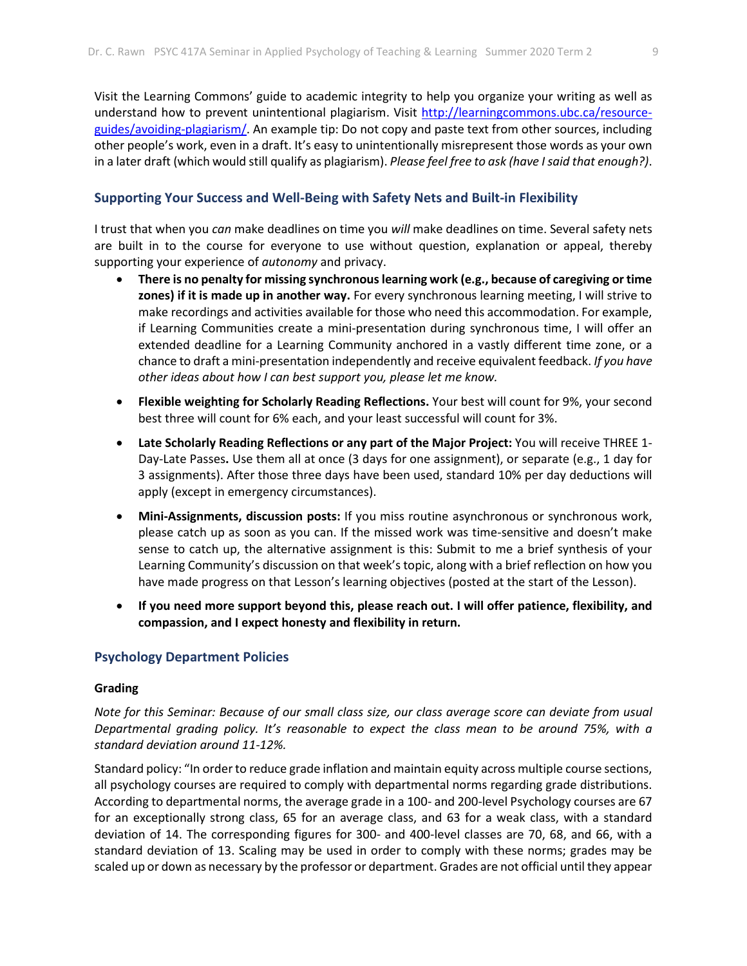Visit the Learning Commons' guide to academic integrity to help you organize your writing as well as understand how to prevent unintentional plagiarism. Visit [http://learningcommons.ubc.ca/resource](http://learningcommons.ubc.ca/resource-guides/avoiding-plagiarism/)[guides/avoiding-plagiarism/.](http://learningcommons.ubc.ca/resource-guides/avoiding-plagiarism/) An example tip: Do not copy and paste text from other sources, including other people's work, even in a draft. It's easy to unintentionally misrepresent those words as your own in a later draft (which would still qualify as plagiarism). *Please feel free to ask (have I said that enough?)*.

#### **Supporting Your Success and Well-Being with Safety Nets and Built-in Flexibility**

I trust that when you *can* make deadlines on time you *will* make deadlines on time. Several safety nets are built in to the course for everyone to use without question, explanation or appeal, thereby supporting your experience of *autonomy* and privacy.

- **There is no penalty for missing synchronous learning work (e.g., because of caregiving or time zones) if it is made up in another way.** For every synchronous learning meeting, I will strive to make recordings and activities available for those who need this accommodation. For example, if Learning Communities create a mini-presentation during synchronous time, I will offer an extended deadline for a Learning Community anchored in a vastly different time zone, or a chance to draft a mini-presentation independently and receive equivalent feedback. *If you have other ideas about how I can best support you, please let me know.*
- **Flexible weighting for Scholarly Reading Reflections.** Your best will count for 9%, your second best three will count for 6% each, and your least successful will count for 3%.
- **Late Scholarly Reading Reflections or any part of the Major Project:** You will receive THREE 1- Day-Late Passes**.** Use them all at once (3 days for one assignment), or separate (e.g., 1 day for 3 assignments). After those three days have been used, standard 10% per day deductions will apply (except in emergency circumstances).
- **Mini-Assignments, discussion posts:** If you miss routine asynchronous or synchronous work, please catch up as soon as you can. If the missed work was time-sensitive and doesn't make sense to catch up, the alternative assignment is this: Submit to me a brief synthesis of your Learning Community's discussion on that week's topic, along with a brief reflection on how you have made progress on that Lesson's learning objectives (posted at the start of the Lesson).
- **If you need more support beyond this, please reach out. I will offer patience, flexibility, and compassion, and I expect honesty and flexibility in return.**

#### **Psychology Department Policies**

#### **Grading**

*Note for this Seminar: Because of our small class size, our class average score can deviate from usual Departmental grading policy. It's reasonable to expect the class mean to be around 75%, with a standard deviation around 11-12%.*

Standard policy: "In order to reduce grade inflation and maintain equity across multiple course sections, all psychology courses are required to comply with departmental norms regarding grade distributions. According to departmental norms, the average grade in a 100- and 200-level Psychology courses are 67 for an exceptionally strong class, 65 for an average class, and 63 for a weak class, with a standard deviation of 14. The corresponding figures for 300- and 400-level classes are 70, 68, and 66, with a standard deviation of 13. Scaling may be used in order to comply with these norms; grades may be scaled up or down as necessary by the professor or department. Grades are not official until they appear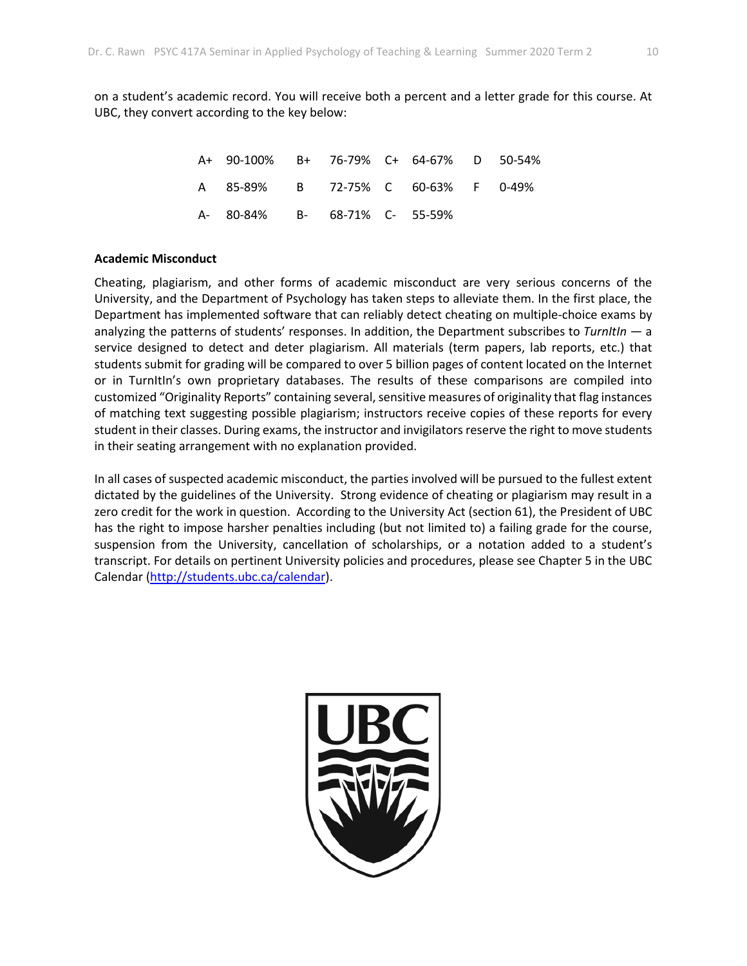on a student's academic record. You will receive both a percent and a letter grade for this course. At UBC, they convert according to the key below:

| A+ 90-100% B+ 76-79% C+ 64-67% D 50-54% |  |  |  |
|-----------------------------------------|--|--|--|
| A 85-89% B 72-75% C 60-63% F 0-49%      |  |  |  |
| A- 80-84% B- 68-71% C- 55-59%           |  |  |  |

#### **Academic Misconduct**

Cheating, plagiarism, and other forms of academic misconduct are very serious concerns of the University, and the Department of Psychology has taken steps to alleviate them. In the first place, the Department has implemented software that can reliably detect cheating on multiple-choice exams by analyzing the patterns of students' responses. In addition, the Department subscribes to *TurnItIn* — a service designed to detect and deter plagiarism. All materials (term papers, lab reports, etc.) that students submit for grading will be compared to over 5 billion pages of content located on the Internet or in TurnItIn's own proprietary databases. The results of these comparisons are compiled into customized "Originality Reports" containing several, sensitive measures of originality that flag instances of matching text suggesting possible plagiarism; instructors receive copies of these reports for every student in their classes. During exams, the instructor and invigilators reserve the right to move students in their seating arrangement with no explanation provided.

In all cases of suspected academic misconduct, the parties involved will be pursued to the fullest extent dictated by the guidelines of the University. Strong evidence of cheating or plagiarism may result in a zero credit for the work in question. According to the University Act (section 61), the President of UBC has the right to impose harsher penalties including (but not limited to) a failing grade for the course, suspension from the University, cancellation of scholarships, or a notation added to a student's transcript. For details on pertinent University policies and procedures, please see Chapter 5 in the UBC Calendar [\(http://students.ubc.ca/calendar\)](http://students.ubc.ca/calendar).

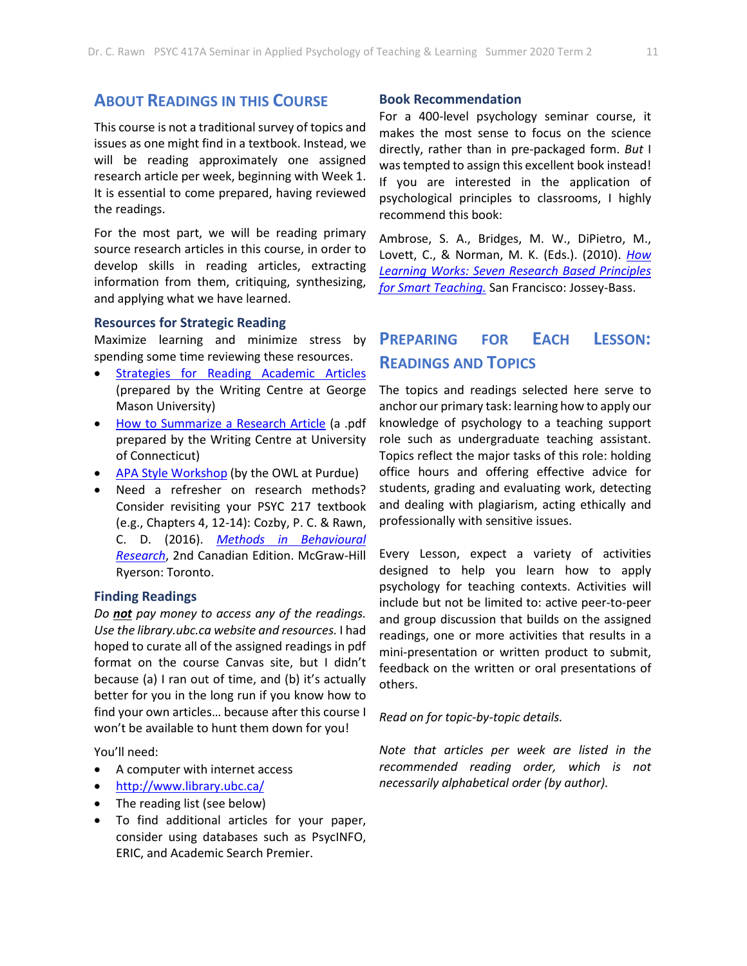## **ABOUT READINGS IN THIS COURSE**

This course is not a traditional survey of topics and issues as one might find in a textbook. Instead, we will be reading approximately one assigned research article per week, beginning with Week 1. It is essential to come prepared, having reviewed the readings.

For the most part, we will be reading primary source research articles in this course, in order to develop skills in reading articles, extracting information from them, critiquing, synthesizing, and applying what we have learned.

#### **Resources for Strategic Reading**

Maximize learning and minimize stress by spending some time reviewing these resources.

- [Strategies for Reading Academic Articles](https://writingcenter.gmu.edu/guides/strategies-for-reading-academic-articles) (prepared by the Writing Centre at George Mason University)
- [How to Summarize a Research Article](https://writingcenter.uconn.edu/wp-content/uploads/sites/593/2014/06/How_to_Summarize_a_Research_Article1.pdf) (a .pdf prepared by the Writing Centre at University of Connecticut)
- [APA Style Workshop](https://owl.purdue.edu/owl/research_and_citation/apa_style/apa_overview_and_workshop.html) (by the OWL at Purdue)
- Need a refresher on research methods? Consider revisiting your PSYC 217 textbook (e.g., Chapters 4, 12-14): Cozby, P. C. & Rawn, C. D. (2016). *Methods [in Behavioural](https://www.mheducation.ca/highereducation/products/9781259271700/connect+with+smartbook+online+access+for+methods+in+behavioural+research/)  [Research](https://www.mheducation.ca/highereducation/products/9781259271700/connect+with+smartbook+online+access+for+methods+in+behavioural+research/)*, 2nd Canadian Edition. McGraw-Hill Ryerson: Toronto.

#### **Finding Readings**

*Do not pay money to access any of the readings. Use the library.ubc.ca website and resources.* I had hoped to curate all of the assigned readings in pdf format on the course Canvas site, but I didn't because (a) I ran out of time, and (b) it's actually better for you in the long run if you know how to find your own articles… because after this course I won't be available to hunt them down for you!

You'll need:

- A computer with internet access
- <http://www.library.ubc.ca/>
- The reading list (see below)
- To find additional articles for your paper, consider using databases such as PsycINFO, ERIC, and Academic Search Premier.

#### **Book Recommendation**

For a 400-level psychology seminar course, it makes the most sense to focus on the science directly, rather than in pre-packaged form. *But* I was tempted to assign this excellent book instead! If you are interested in the application of psychological principles to classrooms, I highly recommend this book:

Ambrose, S. A., Bridges, M. W., DiPietro, M., Lovett, C., & Norman, M. K. (Eds.). (2010). *[How](https://www.wiley.com/en-ca/How+Learning+Works:+Seven+Research+Based+Principles+for+Smart+Teaching-p-9780470484104)  [Learning Works: Seven Research Based Principles](https://www.wiley.com/en-ca/How+Learning+Works:+Seven+Research+Based+Principles+for+Smart+Teaching-p-9780470484104)  [for Smart Teaching.](https://www.wiley.com/en-ca/How+Learning+Works:+Seven+Research+Based+Principles+for+Smart+Teaching-p-9780470484104)* San Francisco: Jossey-Bass.

## **PREPARING FOR EACH LESSON: READINGS AND TOPICS**

The topics and readings selected here serve to anchor our primary task: learning how to apply our knowledge of psychology to a teaching support role such as undergraduate teaching assistant. Topics reflect the major tasks of this role: holding office hours and offering effective advice for students, grading and evaluating work, detecting and dealing with plagiarism, acting ethically and professionally with sensitive issues.

Every Lesson, expect a variety of activities designed to help you learn how to apply psychology for teaching contexts. Activities will include but not be limited to: active peer-to-peer and group discussion that builds on the assigned readings, one or more activities that results in a mini-presentation or written product to submit, feedback on the written or oral presentations of others.

*Read on for topic-by-topic details.* 

*Note that articles per week are listed in the recommended reading order, which is not necessarily alphabetical order (by author).*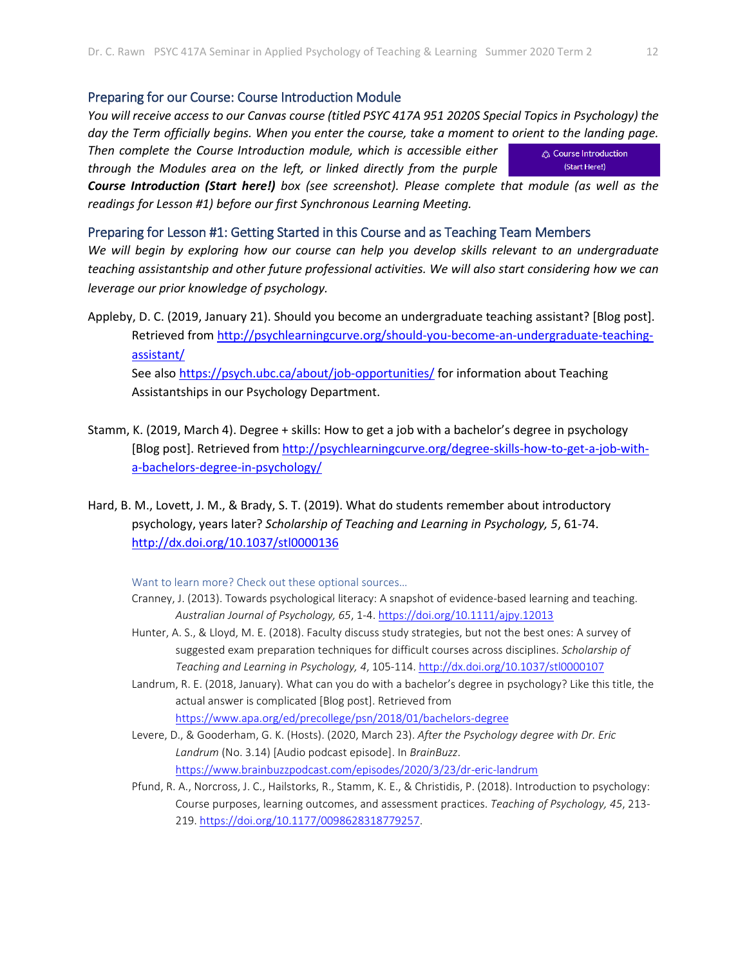#### Preparing for our Course: Course Introduction Module

*You will receive access to our Canvas course (titled PSYC 417A 951 2020S Special Topics in Psychology) the day the Term officially begins. When you enter the course, take a moment to orient to the landing page.* 

*Then complete the Course Introduction module, which is accessible either through the Modules area on the left, or linked directly from the purple* 

*Course Introduction (Start here!) box (see screenshot). Please complete that module (as well as the readings for Lesson #1) before our first Synchronous Learning Meeting.*

#### Preparing for Lesson #1: Getting Started in this Course and as Teaching Team Members

*We will begin by exploring how our course can help you develop skills relevant to an undergraduate teaching assistantship and other future professional activities. We will also start considering how we can leverage our prior knowledge of psychology.*

Appleby, D. C. (2019, January 21). Should you become an undergraduate teaching assistant? [Blog post]. Retrieved from [http://psychlearningcurve.org/should-you-become-an-undergraduate-teaching](http://psychlearningcurve.org/should-you-become-an-undergraduate-teaching-assistant/)[assistant/](http://psychlearningcurve.org/should-you-become-an-undergraduate-teaching-assistant/) See also<https://psych.ubc.ca/about/job-opportunities/> for information about Teaching Assistantships in our Psychology Department.

- Stamm, K. (2019, March 4). Degree + skills: How to get a job with a bachelor's degree in psychology [Blog post]. Retrieved fro[m http://psychlearningcurve.org/degree-skills-how-to-get-a-job-with](http://psychlearningcurve.org/degree-skills-how-to-get-a-job-with-a-bachelors-degree-in-psychology/)[a-bachelors-degree-in-psychology/](http://psychlearningcurve.org/degree-skills-how-to-get-a-job-with-a-bachelors-degree-in-psychology/)
- Hard, B. M., Lovett, J. M., & Brady, S. T. (2019). What do students remember about introductory psychology, years later? *Scholarship of Teaching and Learning in Psychology, 5*, 61-74. [http://dx.doi.org/10.1037/stl0000136](https://psycnet.apa.org/doi/10.1037/stl0000136)

Want to learn more? Check out these optional sources…

- Cranney, J. (2013). Towards psychological literacy: A snapshot of evidence-based learning and teaching. *Australian Journal of Psychology, 65*, 1-4[. https://doi.org/10.1111/ajpy.12013](https://doi.org/10.1111/ajpy.12013)
- Hunter, A. S., & Lloyd, M. E. (2018). Faculty discuss study strategies, but not the best ones: A survey of suggested exam preparation techniques for difficult courses across disciplines. *Scholarship of Teaching and Learning in Psychology, 4*, 105-114[. http://dx.doi.org/10.1037/stl0000107](https://psycnet.apa.org/doi/10.1037/stl0000107)
- Landrum, R. E. (2018, January). What can you do with a bachelor's degree in psychology? Like this title, the actual answer is complicated [Blog post]. Retrieved from <https://www.apa.org/ed/precollege/psn/2018/01/bachelors-degree>
- Levere, D., & Gooderham, G. K. (Hosts). (2020, March 23). *After the Psychology degree with Dr. Eric Landrum* (No. 3.14) [Audio podcast episode]. In *BrainBuzz*. <https://www.brainbuzzpodcast.com/episodes/2020/3/23/dr-eric-landrum>
- Pfund, R. A., Norcross, J. C., Hailstorks, R., Stamm, K. E., & Christidis, P. (2018). Introduction to psychology: Course purposes, learning outcomes, and assessment practices. *Teaching of Psychology, 45*, 213- 219. [https://doi.org/10.1177/0098628318779257.](https://doi.org/10.1177%2F0098628318779257)

යු Course Introduction (Start Here!)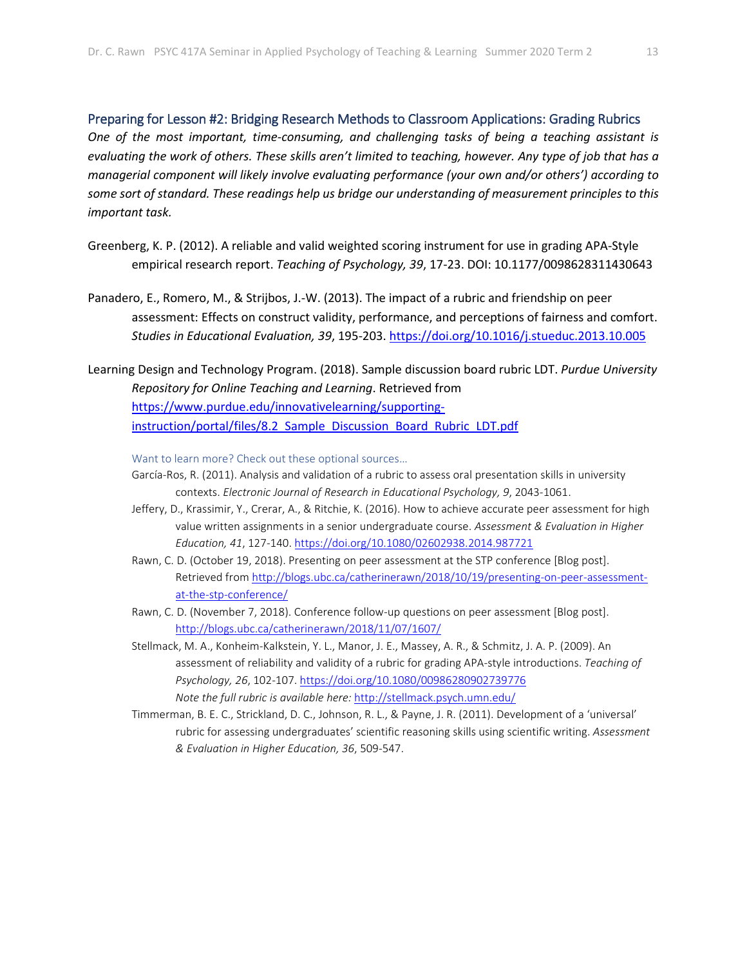#### Preparing for Lesson #2: Bridging Research Methods to Classroom Applications: Grading Rubrics

*One of the most important, time-consuming, and challenging tasks of being a teaching assistant is evaluating the work of others. These skills aren't limited to teaching, however. Any type of job that has a managerial component will likely involve evaluating performance (your own and/or others') according to some sort of standard. These readings help us bridge our understanding of measurement principles to this important task.*

- Greenberg, K. P. (2012). A reliable and valid weighted scoring instrument for use in grading APA-Style empirical research report. *Teaching of Psychology, 39*, 17-23. DOI: 10.1177/0098628311430643
- Panadero, E., Romero, M., & Strijbos, J.-W. (2013). The impact of a rubric and friendship on peer assessment: Effects on construct validity, performance, and perceptions of fairness and comfort. *Studies in Educational Evaluation, 39*, 195-203.<https://doi.org/10.1016/j.stueduc.2013.10.005>
- Learning Design and Technology Program. (2018). Sample discussion board rubric LDT. *Purdue University Repository for Online Teaching and Learning*. Retrieved from [https://www.purdue.edu/innovativelearning/supporting](https://www.purdue.edu/innovativelearning/supporting-instruction/portal/files/8.2_Sample_Discussion_Board_Rubric_LDT.pdf)instruction/portal/files/8.2 Sample Discussion Board Rubric LDT.pdf

Want to learn more? Check out these optional sources…

- García-Ros, R. (2011). Analysis and validation of a rubric to assess oral presentation skills in university contexts. *Electronic Journal of Research in Educational Psychology, 9*, 2043-1061.
- Jeffery, D., Krassimir, Y., Crerar, A., & Ritchie, K. (2016). How to achieve accurate peer assessment for high value written assignments in a senior undergraduate course. *Assessment & Evaluation in Higher Education, 41*, 127-140[. https://doi.org/10.1080/02602938.2014.987721](https://doi.org/10.1080/02602938.2014.987721)
- Rawn, C. D. (October 19, 2018). Presenting on peer assessment at the STP conference [Blog post]. Retrieved from [http://blogs.ubc.ca/catherinerawn/2018/10/19/presenting-on-peer-assessment](http://blogs.ubc.ca/catherinerawn/2018/10/19/presenting-on-peer-assessment-at-the-stp-conference/)[at-the-stp-conference/](http://blogs.ubc.ca/catherinerawn/2018/10/19/presenting-on-peer-assessment-at-the-stp-conference/)
- Rawn, C. D. (November 7, 2018). Conference follow-up questions on peer assessment [Blog post]. <http://blogs.ubc.ca/catherinerawn/2018/11/07/1607/>
- Stellmack, M. A., Konheim-Kalkstein, Y. L., Manor, J. E., Massey, A. R., & Schmitz, J. A. P. (2009). An assessment of reliability and validity of a rubric for grading APA-style introductions. *Teaching of Psychology, 26*, 102-107. [https://doi.org/10.1080/00986280902739776](https://doi.org/10.1080%2F00986280902739776) *Note the full rubric is available here:* <http://stellmack.psych.umn.edu/>
- Timmerman, B. E. C., Strickland, D. C., Johnson, R. L., & Payne, J. R. (2011). Development of a 'universal' rubric for assessing undergraduates' scientific reasoning skills using scientific writing. *Assessment & Evaluation in Higher Education, 36*, 509-547.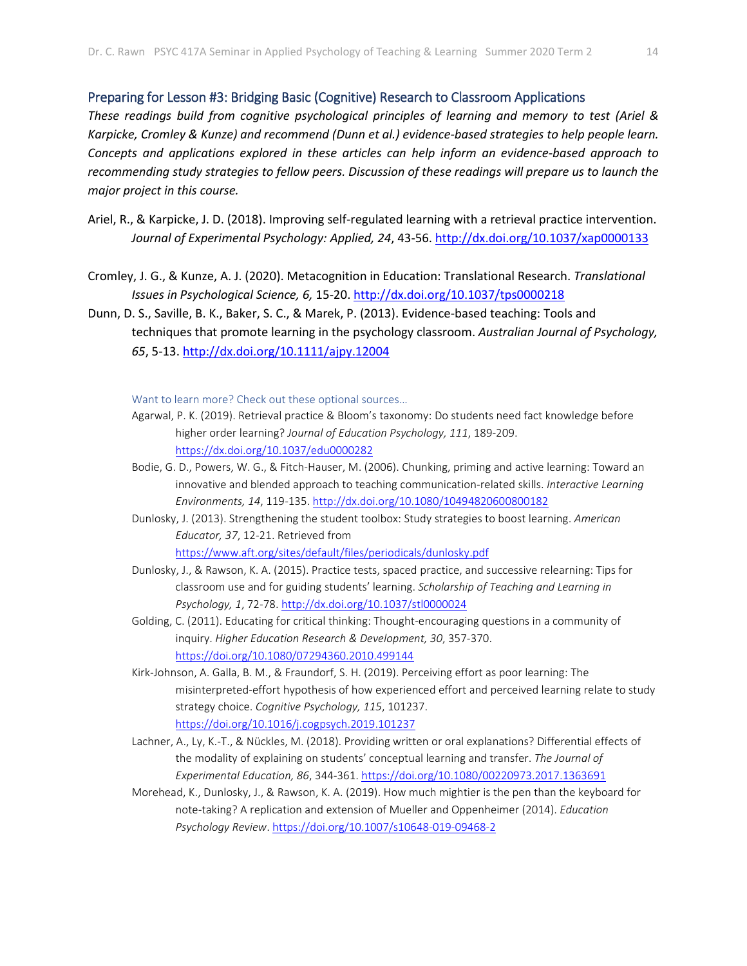## Preparing for Lesson #3: Bridging Basic (Cognitive) Research to Classroom Applications

*These readings build from cognitive psychological principles of learning and memory to test (Ariel & Karpicke, Cromley & Kunze) and recommend (Dunn et al.) evidence-based strategies to help people learn. Concepts and applications explored in these articles can help inform an evidence-based approach to recommending study strategies to fellow peers. Discussion of these readings will prepare us to launch the major project in this course.*

- Ariel, R., & Karpicke, J. D. (2018). Improving self-regulated learning with a retrieval practice intervention. *Journal of Experimental Psychology: Applied, 24*, 43-56.<http://dx.doi.org/10.1037/xap0000133>
- Cromley, J. G., & Kunze, A. J. (2020). Metacognition in Education: Translational Research. *Translational Issues in Psychological Science, 6,* 15-20.<http://dx.doi.org/10.1037/tps0000218>
- Dunn, D. S., Saville, B. K., Baker, S. C., & Marek, P. (2013). Evidence-based teaching: Tools and techniques that promote learning in the psychology classroom. *Australian Journal of Psychology, 65*, 5-13[. http://dx.doi.org/10.1111/ajpy.12004](http://dx.doi.org/10.1111/ajpy.12004)

Want to learn more? Check out these optional sources…

- Agarwal, P. K. (2019). Retrieval practice & Bloom's taxonomy: Do students need fact knowledge before higher order learning? *Journal of Education Psychology, 111*, 189-209. <https://dx.doi.org/10.1037/edu0000282>
- Bodie, G. D., Powers, W. G., & Fitch-Hauser, M. (2006). Chunking, priming and active learning: Toward an innovative and blended approach to teaching communication-related skills. *Interactive Learning Environments, 14*, 119-135[. http://dx.doi.org/10.1080/10494820600800182](http://dx.doi.org/10.1080/10494820600800182)
- Dunlosky, J. (2013). Strengthening the student toolbox: Study strategies to boost learning. *American Educator, 37*, 12-21. Retrieved from

<https://www.aft.org/sites/default/files/periodicals/dunlosky.pdf>

- Dunlosky, J., & Rawson, K. A. (2015). Practice tests, spaced practice, and successive relearning: Tips for classroom use and for guiding students' learning. *Scholarship of Teaching and Learning in Psychology, 1*, 72-78. [http://dx.doi.org/10.1037/stl0000024](https://psycnet.apa.org/doi/10.1037/stl0000024)
- Golding, C. (2011). Educating for critical thinking: Thought-encouraging questions in a community of inquiry. *Higher Education Research & Development, 30*, 357-370. <https://doi.org/10.1080/07294360.2010.499144>
- Kirk-Johnson, A. Galla, B. M., & Fraundorf, S. H. (2019). Perceiving effort as poor learning: The misinterpreted-effort hypothesis of how experienced effort and perceived learning relate to study strategy choice. *Cognitive Psychology, 115*, 101237. <https://doi.org/10.1016/j.cogpsych.2019.101237>
- Lachner, A., Ly, K.-T., & Nückles, M. (2018). Providing written or oral explanations? Differential effects of the modality of explaining on students' conceptual learning and transfer. *The Journal of Experimental Education, 86*, 344-361[. https://doi.org/10.1080/00220973.2017.1363691](https://doi.org/10.1080/00220973.2017.1363691)
- Morehead, K., Dunlosky, J., & Rawson, K. A. (2019). How much mightier is the pen than the keyboard for note-taking? A replication and extension of Mueller and Oppenheimer (2014). *Education Psychology Review*[. https://doi.org/10.1007/s10648-019-09468-2](https://doi.org/10.1007/s10648-019-09468-2)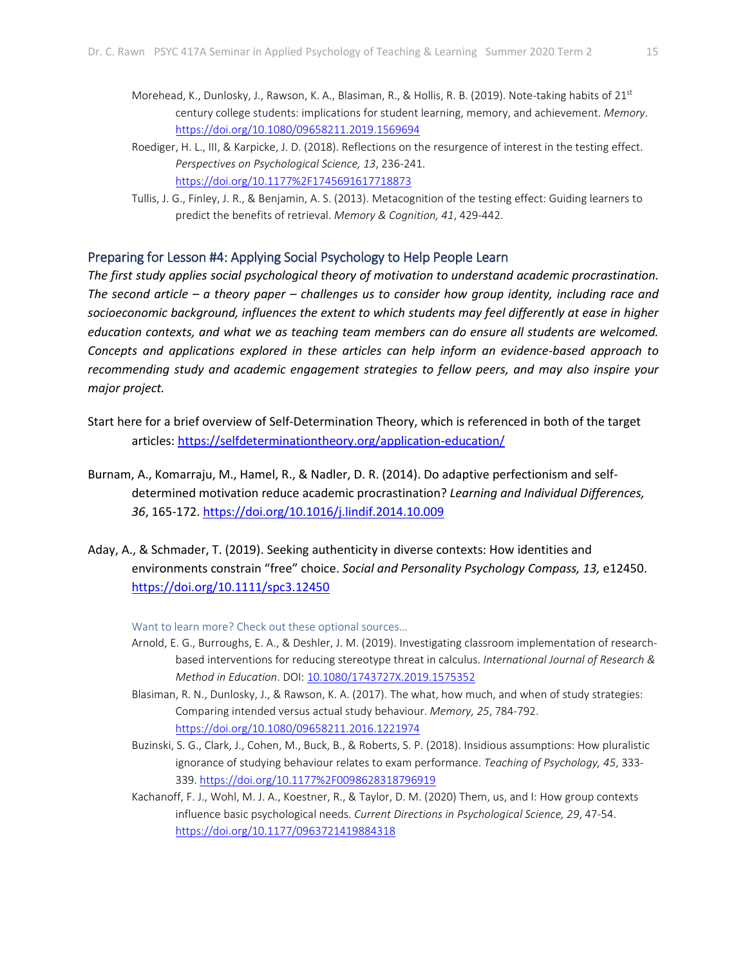- Morehead, K., Dunlosky, J., Rawson, K. A., Blasiman, R., & Hollis, R. B. (2019). Note-taking habits of 21<sup>st</sup> century college students: implications for student learning, memory, and achievement. *Memory*. <https://doi.org/10.1080/09658211.2019.1569694>
- Roediger, H. L., III, & Karpicke, J. D. (2018). Reflections on the resurgence of interest in the testing effect. *Perspectives on Psychological Science, 13*, 236-241. <https://doi.org/10.1177%2F1745691617718873>
- Tullis, J. G., Finley, J. R., & Benjamin, A. S. (2013). Metacognition of the testing effect: Guiding learners to predict the benefits of retrieval. *Memory & Cognition, 41*, 429-442.

#### Preparing for Lesson #4: Applying Social Psychology to Help People Learn

*The first study applies social psychological theory of motivation to understand academic procrastination. The second article – a theory paper – challenges us to consider how group identity, including race and socioeconomic background, influences the extent to which students may feel differently at ease in higher education contexts, and what we as teaching team members can do ensure all students are welcomed. Concepts and applications explored in these articles can help inform an evidence-based approach to recommending study and academic engagement strategies to fellow peers, and may also inspire your major project.*

- Start here for a brief overview of Self-Determination Theory, which is referenced in both of the target articles[: https://selfdeterminationtheory.org/application-education/](https://selfdeterminationtheory.org/application-education/)
- Burnam, A., Komarraju, M., Hamel, R., & Nadler, D. R. (2014). Do adaptive perfectionism and selfdetermined motivation reduce academic procrastination? *Learning and Individual Differences, 36*, 165-172[. https://doi.org/10.1016/j.lindif.2014.10.009](https://doi.org/10.1016/j.lindif.2014.10.009)
- Aday, A., & Schmader, T. (2019). Seeking authenticity in diverse contexts: How identities and environments constrain "free" choice. *Social and Personality Psychology Compass, 13,* e12450. <https://doi.org/10.1111/spc3.12450>

Want to learn more? Check out these optional sources…

- Arnold, E. G., Burroughs, E. A., & Deshler, J. M. (2019). Investigating classroom implementation of researchbased interventions for reducing stereotype threat in calculus. *International Journal of Research & Method in Education*. DOI: [10.1080/1743727X.2019.1575352](https://doi.org/10.1080/1743727X.2019.1575352)
- Blasiman, R. N., Dunlosky, J., & Rawson, K. A. (2017). The what, how much, and when of study strategies: Comparing intended versus actual study behaviour. *Memory, 25*, 784-792. <https://doi.org/10.1080/09658211.2016.1221974>
- Buzinski, S. G., Clark, J., Cohen, M., Buck, B., & Roberts, S. P. (2018). Insidious assumptions: How pluralistic ignorance of studying behaviour relates to exam performance. *Teaching of Psychology, 45*, 333- 339.<https://doi.org/10.1177%2F0098628318796919>
- Kachanoff, F. J., Wohl, M. J. A., Koestner, R., & Taylor, D. M. (2020) Them, us, and I: How group contexts influence basic psychological needs*. Current Directions in Psychological Science, 29*, 47-54. <https://doi.org/10.1177/0963721419884318>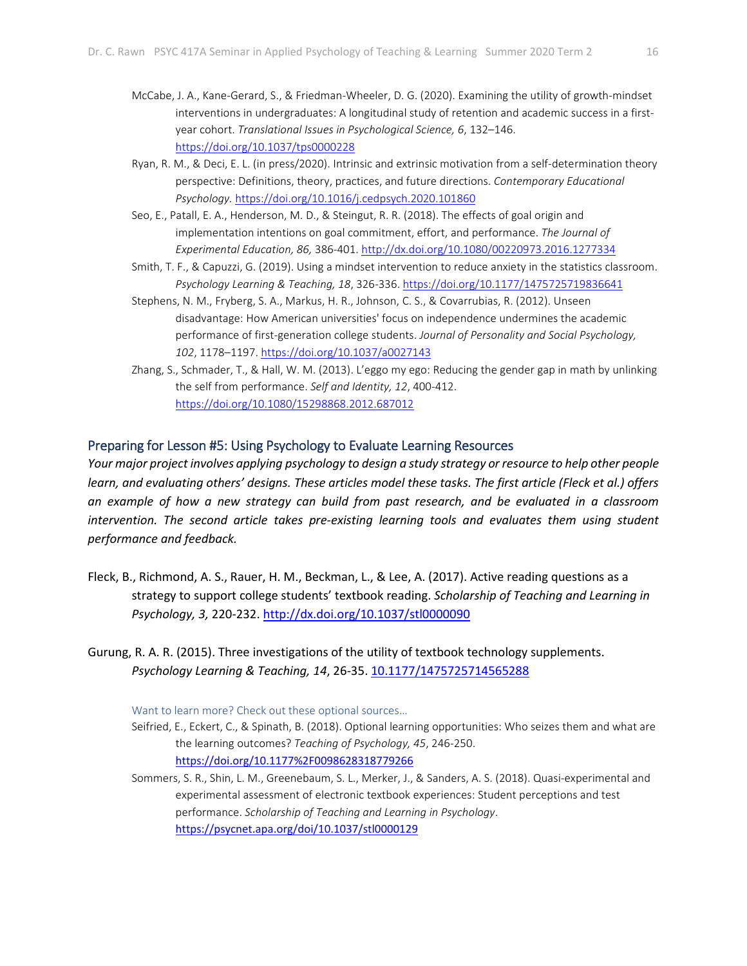- McCabe, J. A., Kane-Gerard, S., & Friedman-Wheeler, D. G. (2020). Examining the utility of growth-mindset interventions in undergraduates: A longitudinal study of retention and academic success in a firstyear cohort. *Translational Issues in Psychological Science, 6*, 132–146. <https://doi.org/10.1037/tps0000228>
- Ryan, R. M., & Deci, E. L. (in press/2020). Intrinsic and extrinsic motivation from a self-determination theory perspective: Definitions, theory, practices, and future directions. *Contemporary Educational Psychology.* <https://doi.org/10.1016/j.cedpsych.2020.101860>
- Seo, E., Patall, E. A., Henderson, M. D., & Steingut, R. R. (2018). The effects of goal origin and implementation intentions on goal commitment, effort, and performance. *The Journal of Experimental Education, 86,* 386-401[. http://dx.doi.org/10.1080/00220973.2016.1277334](http://dx.doi.org/10.1080/00220973.2016.1277334)
- Smith, T. F., & Capuzzi, G. (2019). Using a mindset intervention to reduce anxiety in the statistics classroom. *Psychology Learning & Teaching, 18*, 326-336. <https://doi.org/10.1177/1475725719836641>
- Stephens, N. M., Fryberg, S. A., Markus, H. R., Johnson, C. S., & Covarrubias, R. (2012). Unseen disadvantage: How American universities' focus on independence undermines the academic performance of first-generation college students. *Journal of Personality and Social Psychology, 102*, 1178–1197.<https://doi.org/10.1037/a0027143>
- Zhang, S., Schmader, T., & Hall, W. M. (2013). L'eggo my ego: Reducing the gender gap in math by unlinking the self from performance. *Self and Identity, 12*, 400-412. https://doi.org/10.1080/15298868.2012.687012

### Preparing for Lesson #5: Using Psychology to Evaluate Learning Resources

*Your major project involves applying psychology to design a study strategy or resource to help other people learn, and evaluating others' designs. These articles model these tasks. The first article (Fleck et al.) offers an example of how a new strategy can build from past research, and be evaluated in a classroom intervention. The second article takes pre-existing learning tools and evaluates them using student performance and feedback.*

Fleck, B., Richmond, A. S., Rauer, H. M., Beckman, L., & Lee, A. (2017). Active reading questions as a strategy to support college students' textbook reading. *Scholarship of Teaching and Learning in Psychology, 3,* 220-232[. http://dx.doi.org/10.1037/stl0000090](http://dx.doi.org/10.1037/stl0000090)

Gurung, R. A. R. (2015). Three investigations of the utility of textbook technology supplements. *Psychology Learning & Teaching, 14*, 26-35. [10.1177/1475725714565288](https://doi-org.ezproxy.library.ubc.ca/10.1177%2F1475725714565288)

Want to learn more? Check out these optional sources…

- Seifried, E., Eckert, C., & Spinath, B. (2018). Optional learning opportunities: Who seizes them and what are the learning outcomes? *Teaching of Psychology, 45*, 246-250. <https://doi.org/10.1177%2F0098628318779266>
- Sommers, S. R., Shin, L. M., Greenebaum, S. L., Merker, J., & Sanders, A. S. (2018). Quasi-experimental and experimental assessment of electronic textbook experiences: Student perceptions and test performance. *Scholarship of Teaching and Learning in Psychology*. <https://psycnet.apa.org/doi/10.1037/stl0000129>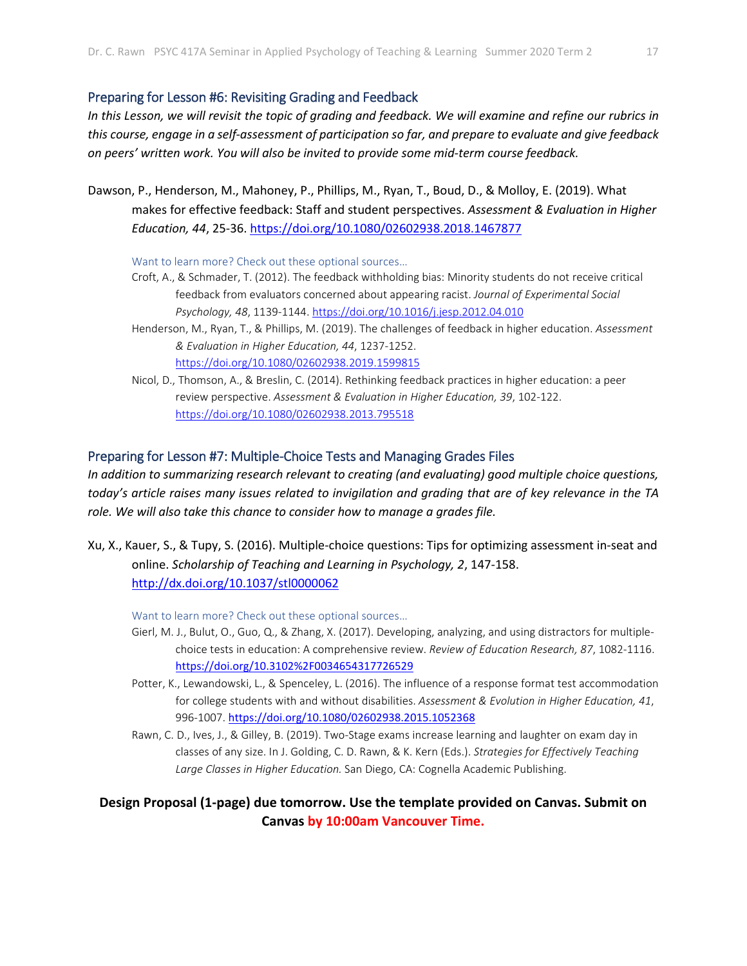#### Preparing for Lesson #6: Revisiting Grading and Feedback

*In this Lesson, we will revisit the topic of grading and feedback. We will examine and refine our rubrics in this course, engage in a self-assessment of participation so far, and prepare to evaluate and give feedback on peers' written work. You will also be invited to provide some mid-term course feedback.*

Dawson, P., Henderson, M., Mahoney, P., Phillips, M., Ryan, T., Boud, D., & Molloy, E. (2019). What makes for effective feedback: Staff and student perspectives. *Assessment & Evaluation in Higher Education, 44*, 25-36.<https://doi.org/10.1080/02602938.2018.1467877>

Want to learn more? Check out these optional sources…

- Croft, A., & Schmader, T. (2012). The feedback withholding bias: Minority students do not receive critical feedback from evaluators concerned about appearing racist. *Journal of Experimental Social Psychology, 48*, 1139-1144. [https://doi.org/10.1016/j.jesp.2012.04.010](https://doi-org.ezproxy.library.ubc.ca/10.1016/j.jesp.2012.04.010)
- Henderson, M., Ryan, T., & Phillips, M. (2019). The challenges of feedback in higher education. *Assessment & Evaluation in Higher Education, 44*, 1237-1252. <https://doi.org/10.1080/02602938.2019.1599815>
- Nicol, D., Thomson, A., & Breslin, C. (2014). Rethinking feedback practices in higher education: a peer review perspective. *Assessment & Evaluation in Higher Education, 39*, 102-122. https://doi.org/10.1080/02602938.2013.795518

#### Preparing for Lesson #7: Multiple-Choice Tests and Managing Grades Files

*In addition to summarizing research relevant to creating (and evaluating) good multiple choice questions, today's article raises many issues related to invigilation and grading that are of key relevance in the TA role. We will also take this chance to consider how to manage a grades file.* 

Xu, X., Kauer, S., & Tupy, S. (2016). Multiple-choice questions: Tips for optimizing assessment in-seat and online. *Scholarship of Teaching and Learning in Psychology, 2*, 147-158. <http://dx.doi.org/10.1037/stl0000062>

Want to learn more? Check out these optional sources…

- Gierl, M. J., Bulut, O., Guo, Q., & Zhang, X. (2017). Developing, analyzing, and using distractors for multiplechoice tests in education: A comprehensive review. *Review of Education Research, 87*, 1082-1116. <https://doi.org/10.3102%2F0034654317726529>
- Potter, K., Lewandowski, L., & Spenceley, L. (2016). The influence of a response format test accommodation for college students with and without disabilities. *Assessment & Evolution in Higher Education, 41*, 996-1007. https://doi.org/10.1080/02602938.2015.1052368
- Rawn, C. D., Ives, J., & Gilley, B. (2019). Two-Stage exams increase learning and laughter on exam day in classes of any size. In J. Golding, C. D. Rawn, & K. Kern (Eds.). *Strategies for Effectively Teaching Large Classes in Higher Education.* San Diego, CA: Cognella Academic Publishing.

**Design Proposal (1-page) due tomorrow. Use the template provided on Canvas. Submit on Canvas by 10:00am Vancouver Time.**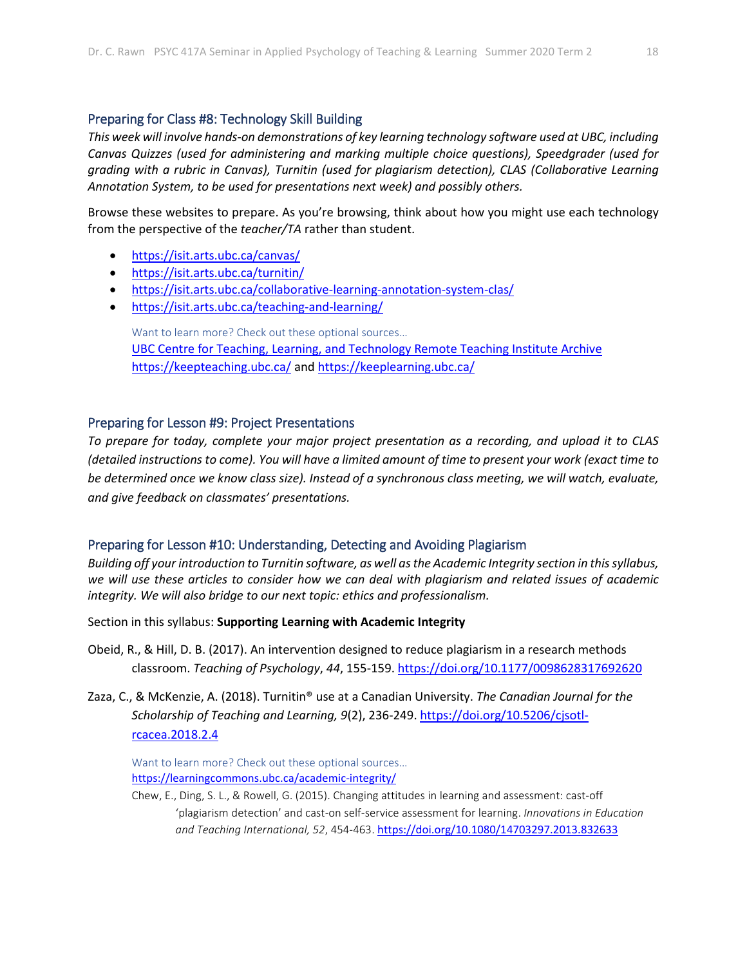#### Preparing for Class #8: Technology Skill Building

*This week will involve hands-on demonstrations of key learning technology software used at UBC, including Canvas Quizzes (used for administering and marking multiple choice questions), Speedgrader (used for grading with a rubric in Canvas), Turnitin (used for plagiarism detection), CLAS (Collaborative Learning Annotation System, to be used for presentations next week) and possibly others.*

Browse these websites to prepare. As you're browsing, think about how you might use each technology from the perspective of the *teacher/TA* rather than student.

- <https://isit.arts.ubc.ca/canvas/>
- <https://isit.arts.ubc.ca/turnitin/>
- <https://isit.arts.ubc.ca/collaborative-learning-annotation-system-clas/>
- <https://isit.arts.ubc.ca/teaching-and-learning/>

Want to learn more? Check out these optional sources… [UBC Centre for Teaching, Learning, and Technology Remote Teaching Institute](https://wiki.ubc.ca/Documentation:CTLT_programs/CTLT_Institute/2020-Remote-Teaching-Institute#Session_Resources) Archive <https://keepteaching.ubc.ca/> an[d https://keeplearning.ubc.ca/](https://keeplearning.ubc.ca/)

#### Preparing for Lesson #9: Project Presentations

*To prepare for today, complete your major project presentation as a recording, and upload it to CLAS (detailed instructions to come). You will have a limited amount of time to present your work (exact time to be determined once we know class size). Instead of a synchronous class meeting, we will watch, evaluate, and give feedback on classmates' presentations.*

#### Preparing for Lesson #10: Understanding, Detecting and Avoiding Plagiarism

*Building off your introduction to Turnitin software, as well as the Academic Integrity section in this syllabus, we will use these articles to consider how we can deal with plagiarism and related issues of academic integrity. We will also bridge to our next topic: ethics and professionalism.*

Section in this syllabus: **Supporting Learning with Academic Integrity**

- Obeid, R., & Hill, D. B. (2017). An intervention designed to reduce plagiarism in a research methods classroom. *Teaching of Psychology*, *44*, 155-159.<https://doi.org/10.1177/0098628317692620>
- Zaza, C., & McKenzie, A. (2018). Turnitin® use at a Canadian University. *The Canadian Journal for the Scholarship of Teaching and Learning, 9*(2), 236-249[. https://doi.org/10.5206/cjsotl](https://doi.org/10.5206/cjsotl-rcacea.2018.2.4)[rcacea.2018.2.4](https://doi.org/10.5206/cjsotl-rcacea.2018.2.4)

Want to learn more? Check out these optional sources… <https://learningcommons.ubc.ca/academic-integrity/>

Chew, E., Ding, S. L., & Rowell, G. (2015). Changing attitudes in learning and assessment: cast-off 'plagiarism detection' and cast-on self-service assessment for learning. *Innovations in Education and Teaching International, 52*, 454-463. <https://doi.org/10.1080/14703297.2013.832633>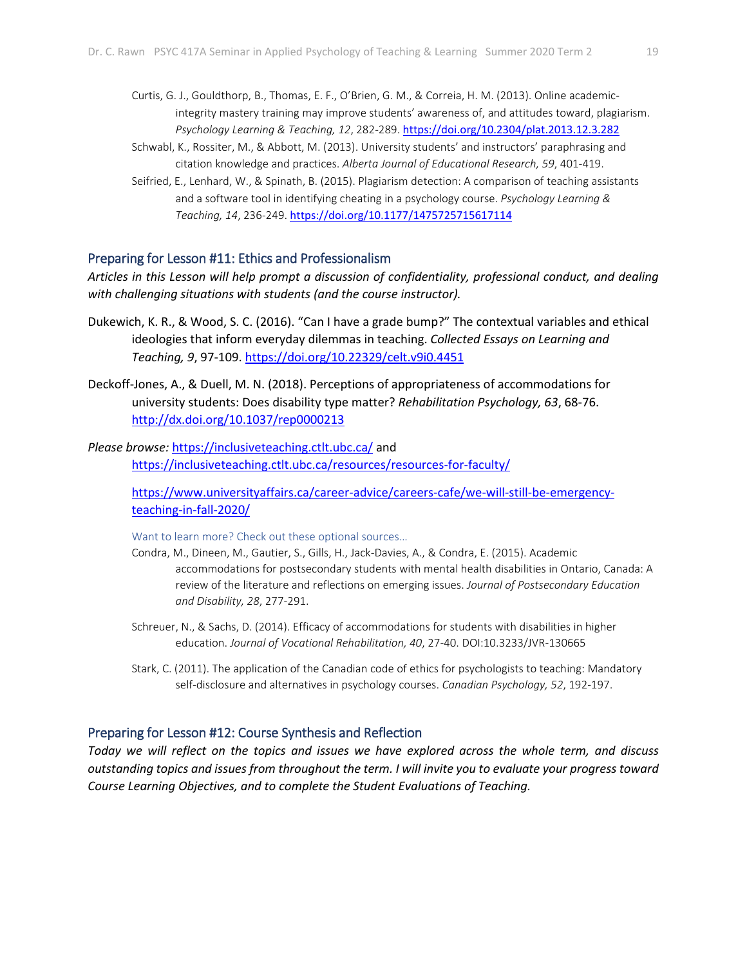- Curtis, G. J., Gouldthorp, B., Thomas, E. F., O'Brien, G. M., & Correia, H. M. (2013). Online academicintegrity mastery training may improve students' awareness of, and attitudes toward, plagiarism. *Psychology Learning & Teaching, 12*, 282-289. [https://doi.org/10.2304/plat.2013.12.3.282](https://doi.org/10.2304%2Fplat.2013.12.3.282)
- Schwabl, K., Rossiter, M., & Abbott, M. (2013). University students' and instructors' paraphrasing and citation knowledge and practices. *Alberta Journal of Educational Research, 59*, 401-419.
- Seifried, E., Lenhard, W., & Spinath, B. (2015). Plagiarism detection: A comparison of teaching assistants and a software tool in identifying cheating in a psychology course. *Psychology Learning & Teaching, 14*, 236-249. [https://doi.org/10.1177/1475725715617114](https://doi.org/10.1177%2F1475725715617114)

#### Preparing for Lesson #11: Ethics and Professionalism

*Articles in this Lesson will help prompt a discussion of confidentiality, professional conduct, and dealing with challenging situations with students (and the course instructor).*

- Dukewich, K. R., & Wood, S. C. (2016). "Can I have a grade bump?" The contextual variables and ethical ideologies that inform everyday dilemmas in teaching. *Collected Essays on Learning and Teaching, 9*, 97-109.<https://doi.org/10.22329/celt.v9i0.4451>
- Deckoff-Jones, A., & Duell, M. N. (2018). Perceptions of appropriateness of accommodations for university students: Does disability type matter? *Rehabilitation Psychology, 63*, 68-76. <http://dx.doi.org/10.1037/rep0000213>
- *Please browse:* <https://inclusiveteaching.ctlt.ubc.ca/> and <https://inclusiveteaching.ctlt.ubc.ca/resources/resources-for-faculty/>

[https://www.universityaffairs.ca/career-advice/careers-cafe/we-will-still-be-emergency](https://www.universityaffairs.ca/career-advice/careers-cafe/we-will-still-be-emergency-teaching-in-fall-2020/)[teaching-in-fall-2020/](https://www.universityaffairs.ca/career-advice/careers-cafe/we-will-still-be-emergency-teaching-in-fall-2020/)

Want to learn more? Check out these optional sources…

- Condra, M., Dineen, M., Gautier, S., Gills, H., Jack-Davies, A., & Condra, E. (2015). Academic accommodations for postsecondary students with mental health disabilities in Ontario, Canada: A review of the literature and reflections on emerging issues. *Journal of Postsecondary Education and Disability, 28*, 277-291.
- Schreuer, N., & Sachs, D. (2014). Efficacy of accommodations for students with disabilities in higher education. *Journal of Vocational Rehabilitation, 40*, 27-40. DOI:10.3233/JVR-130665
- Stark, C. (2011). The application of the Canadian code of ethics for psychologists to teaching: Mandatory self-disclosure and alternatives in psychology courses. *Canadian Psychology, 52*, 192-197.

#### Preparing for Lesson #12: Course Synthesis and Reflection

*Today we will reflect on the topics and issues we have explored across the whole term, and discuss outstanding topics and issues from throughout the term. I will invite you to evaluate your progress toward Course Learning Objectives, and to complete the Student Evaluations of Teaching.*